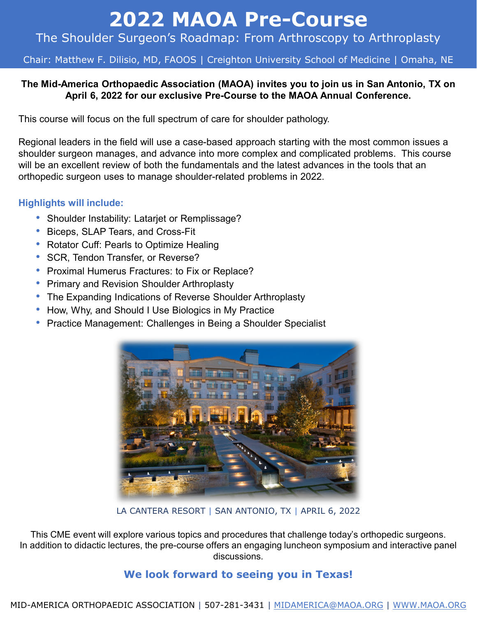# **2022 MAOA Pre-Course**

## The Shoulder Surgeon's Roadmap: From Arthroscopy to Arthroplasty

#### Chair: Matthew F. Dilisio, MD, FAOOS | Creighton University School of Medicine | Omaha, NE

#### **The Mid-America Orthopaedic Association (MAOA) invites you to join us in San Antonio, TX on April 6, 2022 for our exclusive Pre-Course to the MAOA Annual Conference.**

This course will focus on the full spectrum of care for shoulder pathology.

Regional leaders in the field will use a case-based approach starting with the most common issues a shoulder surgeon manages, and advance into more complex and complicated problems. This course will be an excellent review of both the fundamentals and the latest advances in the tools that an orthopedic surgeon uses to manage shoulder-related problems in 2022.

#### **Highlights will include:**

- Shoulder Instability: Latariet or Remplissage?
- Biceps, SLAP Tears, and Cross-Fit
- Rotator Cuff: Pearls to Optimize Healing
- SCR, Tendon Transfer, or Reverse?
- Proximal Humerus Fractures: to Fix or Replace?
- Primary and Revision Shoulder Arthroplasty
- The Expanding Indications of Reverse Shoulder Arthroplasty
- How, Why, and Should I Use Biologics in My Practice
- Practice Management: Challenges in Being a Shoulder Specialist



LA CANTERA RESORT | SAN ANTONIO, TX | APRIL 6, 2022

This CME event will explore various topics and procedures that challenge today's orthopedic surgeons. In addition to didactic lectures, the pre-course offers an engaging luncheon symposium and interactive panel discussions.

#### **We look forward to seeing you in Texas!**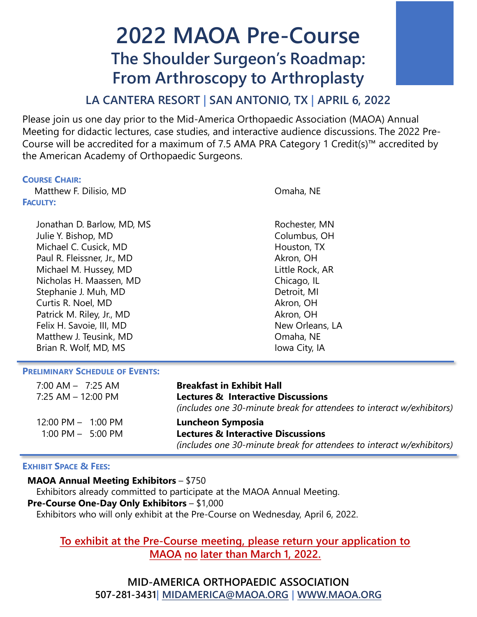## **2022 MAOA Pre-Course The Shoulder Surgeon's Roadmap: From Arthroscopy to Arthroplasty**

## **LA CANTERA RESORT | SAN ANTONIO, TX | APRIL 6, 2022**

Please join us one day prior to the Mid-America Orthopaedic Association (MAOA) Annual Meeting for didactic lectures, case studies, and interactive audience discussions. The 2022 Pre-Course will be accredited for a maximum of 7.5 AMA PRA Category 1 Credit(s)™ accredited by the American Academy of Orthopaedic Surgeons.

#### **COURSE CHAIR:**

 Matthew F. Dilisio, MD **FACULTY:**

> Jonathan D. Barlow, MD, MS Rochester, MN Julie Y. Bishop, MD Columbus, OH Michael C. Cusick, MD **Houston, TX** Paul R. Fleissner, Jr., MD Akron, OH Michael M. Hussey, MD and Little Rock, AR Nicholas H. Maassen, MD Chicago, IL Stephanie J. Muh, MD Detroit, MI Curtis R. Noel, MD Akron, OH Patrick M. Riley, Jr., MD Akron, OH Felix H. Savoie, III, MD New Orleans, LA Matthew J. Teusink, MD and the control of the Omaha, NE Brian R. Wolf, MD, MS **Iowa City, IA**

Omaha, NE

#### **PRELIMINARY SCHEDULE OF EVENTS:**

| $7:00$ AM $-$ 7:25 AM                | <b>Breakfast in Exhibit Hall</b>                                      |  |
|--------------------------------------|-----------------------------------------------------------------------|--|
| 7:25 AM - 12:00 PM                   | <b>Lectures &amp; Interactive Discussions</b>                         |  |
|                                      | (includes one 30-minute break for attendees to interact w/exhibitors) |  |
| $12:00 \text{ PM} - 1:00 \text{ PM}$ | Luncheon Symposia                                                     |  |
| $1:00 \text{ PM} - 5:00 \text{ PM}$  | <b>Lectures &amp; Interactive Discussions</b>                         |  |
|                                      | (includes one 30-minute break for attendees to interact w/exhibitors) |  |

#### **EXHIBIT SPACE & FEES:**

**MAOA Annual Meeting Exhibitors** – \$750

Exhibitors already committed to participate at the MAOA Annual Meeting. **Pre-Course One-Day Only Exhibitors** – \$1,000 Exhibitors who will only exhibit at the Pre-Course on Wednesday, April 6, 2022.

#### **To exhibit at the Pre-Course meeting, please return your application to MAOA no later than March 1, 2022.**

**MID-AMERICA ORTHOPAEDIC ASSOCIATION 507-281-3431| [MIDAMERICA@MAOA.ORG](mailto:MIDAMERICA@MAOA.ORG) | [WWW.MAOA.ORG](http://www.maoa.org/)**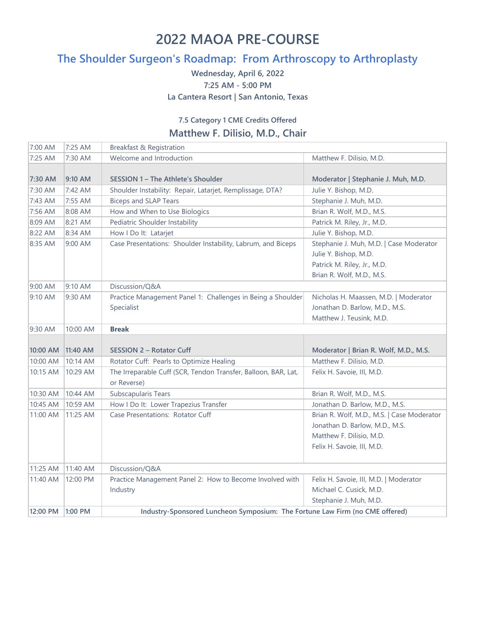## **2022 MAOA PRE-COURSE**

## **The Shoulder Surgeon's Roadmap: From Arthroscopy to Arthroplasty**

**Wednesday, April 6, 2022 7:25 AM - 5:00 PM La Cantera Resort | San Antonio, Texas**

#### **7.5 Category 1 CME Credits Offered Matthew F. Dilisio, M.D., Chair**

| 7:00 AM  | 7:25 AM     | Breakfast & Registration                                                      |                                                                                                                                        |  |
|----------|-------------|-------------------------------------------------------------------------------|----------------------------------------------------------------------------------------------------------------------------------------|--|
| 7:25 AM  | 7:30 AM     | Welcome and Introduction                                                      | Matthew F. Dilisio, M.D.                                                                                                               |  |
| 7:30 AM  | 9:10 AM     | SESSION 1 – The Athlete's Shoulder                                            | Moderator   Stephanie J. Muh, M.D.                                                                                                     |  |
| 7:30 AM  | 7:42 AM     | Shoulder Instability: Repair, Latarjet, Remplissage, DTA?                     | Julie Y. Bishop, M.D.                                                                                                                  |  |
| 7:43 AM  | 7:55 AM     | <b>Biceps and SLAP Tears</b>                                                  | Stephanie J. Muh, M.D.                                                                                                                 |  |
| 7:56 AM  | 8:08 AM     | How and When to Use Biologics                                                 | Brian R. Wolf, M.D., M.S.                                                                                                              |  |
| 8:09 AM  | 8:21 AM     | Pediatric Shoulder Instability                                                | Patrick M. Riley, Jr., M.D.                                                                                                            |  |
| 8:22 AM  | 8:34 AM     | How I Do It: Latarjet                                                         | Julie Y. Bishop, M.D.                                                                                                                  |  |
| 8:35 AM  | 9:00 AM     | Case Presentations: Shoulder Instability, Labrum, and Biceps                  | Stephanie J. Muh, M.D.   Case Moderator<br>Julie Y. Bishop, M.D.<br>Patrick M. Riley, Jr., M.D.                                        |  |
|          |             |                                                                               | Brian R. Wolf, M.D., M.S.                                                                                                              |  |
| 9:00 AM  | 9:10 AM     | Discussion/Q&A                                                                |                                                                                                                                        |  |
| 9:10 AM  | 9:30 AM     | Practice Management Panel 1: Challenges in Being a Shoulder<br>Specialist     | Nicholas H. Maassen, M.D.   Moderator<br>Jonathan D. Barlow, M.D., M.S.<br>Matthew J. Teusink, M.D.                                    |  |
| 9:30 AM  | 10:00 AM    | <b>Break</b>                                                                  |                                                                                                                                        |  |
|          |             |                                                                               |                                                                                                                                        |  |
| 10:00 AM | $ 11:40$ AM | <b>SESSION 2 - Rotator Cuff</b>                                               | Moderator   Brian R. Wolf, M.D., M.S.                                                                                                  |  |
| 10:00 AM | 10:14 AM    | Rotator Cuff: Pearls to Optimize Healing                                      | Matthew F. Dilisio, M.D.                                                                                                               |  |
| 10:15 AM | 10:29 AM    | The Irreparable Cuff (SCR, Tendon Transfer, Balloon, BAR, Lat,<br>or Reverse) | Felix H. Savoie, III, M.D.                                                                                                             |  |
| 10:30 AM | 10:44 AM    | Subscapularis Tears                                                           | Brian R. Wolf, M.D., M.S.                                                                                                              |  |
| 10:45 AM | 10:59 AM    | How I Do It: Lower Trapezius Transfer                                         | Jonathan D. Barlow, M.D., M.S.                                                                                                         |  |
| 11:00 AM | 11:25 AM    | Case Presentations: Rotator Cuff                                              | Brian R. Wolf, M.D., M.S.   Case Moderator<br>Jonathan D. Barlow, M.D., M.S.<br>Matthew F. Dilisio, M.D.<br>Felix H. Savoie, III, M.D. |  |
| 11:25 AM | 11:40 AM    | Discussion/Q&A                                                                |                                                                                                                                        |  |
| 11:40 AM | 12:00 PM    | Practice Management Panel 2: How to Become Involved with<br>Industry          | Felix H. Savoie, III, M.D.   Moderator<br>Michael C. Cusick, M.D.<br>Stephanie J. Muh, M.D.                                            |  |
| 12:00 PM | 1:00 PM     | Industry-Sponsored Luncheon Symposium: The Fortune Law Firm (no CME offered)  |                                                                                                                                        |  |